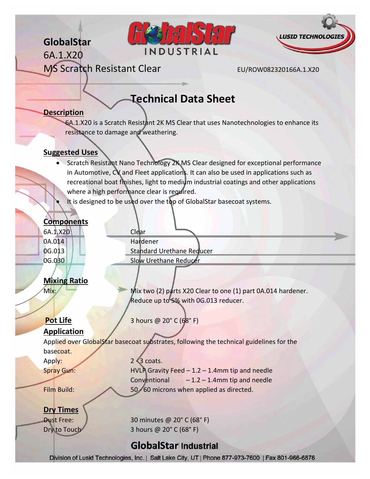# **GlobalStar**

6A.1.X20





MS Scratch Resistant Clear EU/ROW082320166A.1.X20

# **Technical Data Sheet**

### **Description**

6A.1.X20 is a Scratch Resistant 2K MS Clear that uses Nanotechnologies to enhance its resistance to damage and weathering.

### **Suggested Uses**

- Scratch Resistant Nano Technology 2K MS Clear designed for exceptional performance in Automotive, CV and Fleet applications. It can also be used in applications such as recreational boat finishes, light to medium industrial coatings and other applications where a high performance clear is required.
- It is designed to be used over the top of GlobalStar basecoat systems.

### **Components**

6A.1.X20 Clear

0A.014 Hardener 0G.013 | Standard Urethane Reducer 0G.030 | Slow Urethane Reducer

### **Mixing Ratio**

Mix: Mix two (2) parts X20 Clear to one (1) part 0A.014 hardener. Reduce up to 5% with 0G.013 reducer.

**Pot Life** 3 hours @ 20° C (68° F)

### **Application**

Applied over GlobalStar basecoat substrates, following the technical guidelines for the basecoat.

Apply:  $2\sqrt{3} \text{ coats.}$ 

# Spray Gun: HVLP Gravity Feed – 1.2 – 1.4mm tip and needle Conventional  $-1.2 - 1.4$ mm tip and needle Film Build: 50 - 60 microns when applied as directed.

### **Dry Times**

Dust Free: 30 minutes @ 20° C (68° F) Dry to Touch 3 hours @ 20° C (68° F)

# **GlobalStar Industrial**

Division of Lusid Technologies, Inc. | Salt Lake City, UT | Phone 877-973-7600 | Fax 801-966-6876